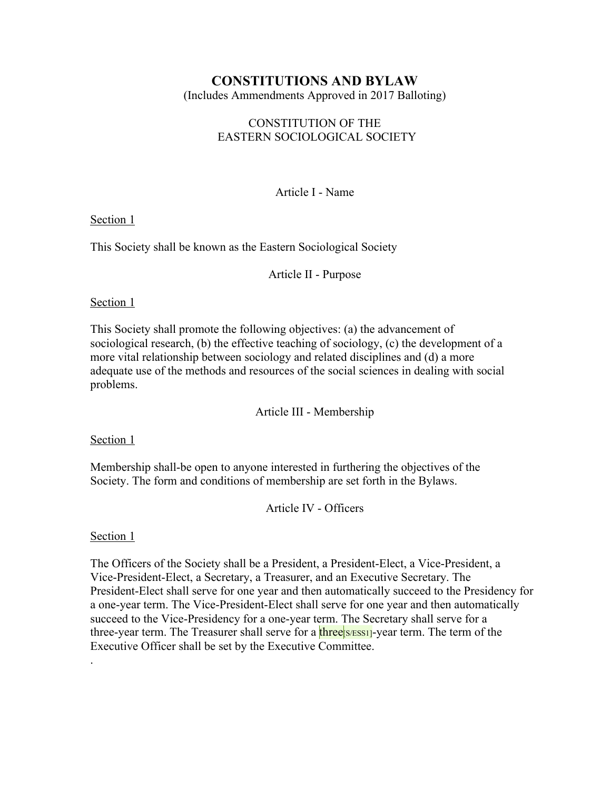# **CONSTITUTIONS AND BYLAW**

(Includes Ammendments Approved in 2017 Balloting)

# CONSTITUTION OF THE EASTERN SOCIOLOGICAL SOCIETY

Article I - Name

Section 1

This Society shall be known as the Eastern Sociological Society

Article II - Purpose

# Section 1

This Society shall promote the following objectives: (a) the advancement of sociological research, (b) the effective teaching of sociology, (c) the development of a more vital relationship between sociology and related disciplines and (d) a more adequate use of the methods and resources of the social sciences in dealing with social problems.

Article III - Membership

Section 1

Membership shall-be open to anyone interested in furthering the objectives of the Society. The form and conditions of membership are set forth in the Bylaws.

Article IV - Officers

Section 1

.

The Officers of the Society shall be a President, a President-Elect, a Vice-President, a Vice-President-Elect, a Secretary, a Treasurer, and an Executive Secretary. The President-Elect shall serve for one year and then automatically succeed to the Presidency for a one-year term. The Vice-President-Elect shall serve for one year and then automatically succeed to the Vice-Presidency for a one-year term. The Secretary shall serve for a three-year term. The Treasurer shall serve for a three S/ESS1]-year term. The term of the Executive Officer shall be set by the Executive Committee.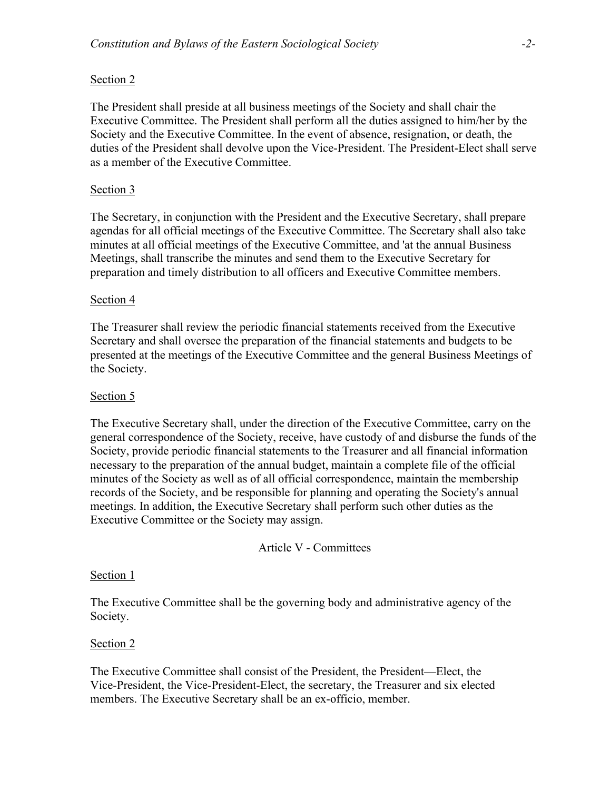The President shall preside at all business meetings of the Society and shall chair the Executive Committee. The President shall perform all the duties assigned to him/her by the Society and the Executive Committee. In the event of absence, resignation, or death, the duties of the President shall devolve upon the Vice-President. The President-Elect shall serve as a member of the Executive Committee.

### Section 3

The Secretary, in conjunction with the President and the Executive Secretary, shall prepare agendas for all official meetings of the Executive Committee. The Secretary shall also take minutes at all official meetings of the Executive Committee, and 'at the annual Business Meetings, shall transcribe the minutes and send them to the Executive Secretary for preparation and timely distribution to all officers and Executive Committee members.

### Section 4

The Treasurer shall review the periodic financial statements received from the Executive Secretary and shall oversee the preparation of the financial statements and budgets to be presented at the meetings of the Executive Committee and the general Business Meetings of the Society.

### Section 5

The Executive Secretary shall, under the direction of the Executive Committee, carry on the general correspondence of the Society, receive, have custody of and disburse the funds of the Society, provide periodic financial statements to the Treasurer and all financial information necessary to the preparation of the annual budget, maintain a complete file of the official minutes of the Society as well as of all official correspondence, maintain the membership records of the Society, and be responsible for planning and operating the Society's annual meetings. In addition, the Executive Secretary shall perform such other duties as the Executive Committee or the Society may assign.

#### Article V - Committees

#### Section 1

The Executive Committee shall be the governing body and administrative agency of the Society.

#### Section 2

The Executive Committee shall consist of the President, the President—Elect, the Vice-President, the Vice-President-Elect, the secretary, the Treasurer and six elected members. The Executive Secretary shall be an ex-officio, member.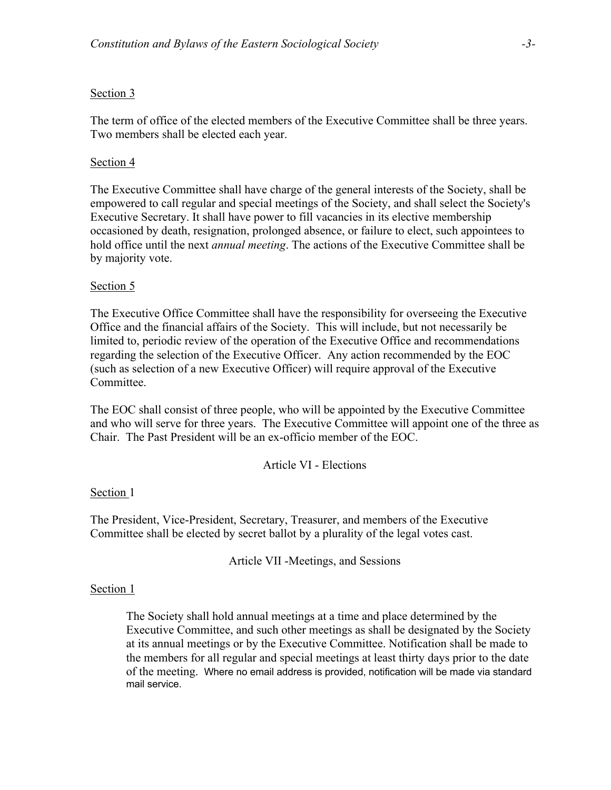The term of office of the elected members of the Executive Committee shall be three years. Two members shall be elected each year.

### Section 4

The Executive Committee shall have charge of the general interests of the Society, shall be empowered to call regular and special meetings of the Society, and shall select the Society's Executive Secretary. It shall have power to fill vacancies in its elective membership occasioned by death, resignation, prolonged absence, or failure to elect, such appointees to hold office until the next *annual meeting*. The actions of the Executive Committee shall be by majority vote.

### Section 5

The Executive Office Committee shall have the responsibility for overseeing the Executive Office and the financial affairs of the Society. This will include, but not necessarily be limited to, periodic review of the operation of the Executive Office and recommendations regarding the selection of the Executive Officer. Any action recommended by the EOC (such as selection of a new Executive Officer) will require approval of the Executive Committee.

The EOC shall consist of three people, who will be appointed by the Executive Committee and who will serve for three years. The Executive Committee will appoint one of the three as Chair. The Past President will be an ex-officio member of the EOC.

Article VI - Elections

#### Section 1

The President, Vice-President, Secretary, Treasurer, and members of the Executive Committee shall be elected by secret ballot by a plurality of the legal votes cast.

Article VII -Meetings, and Sessions

#### Section 1

The Society shall hold annual meetings at a time and place determined by the Executive Committee, and such other meetings as shall be designated by the Society at its annual meetings or by the Executive Committee. Notification shall be made to the members for all regular and special meetings at least thirty days prior to the date of the meeting. Where no email address is provided, notification will be made via standard mail service.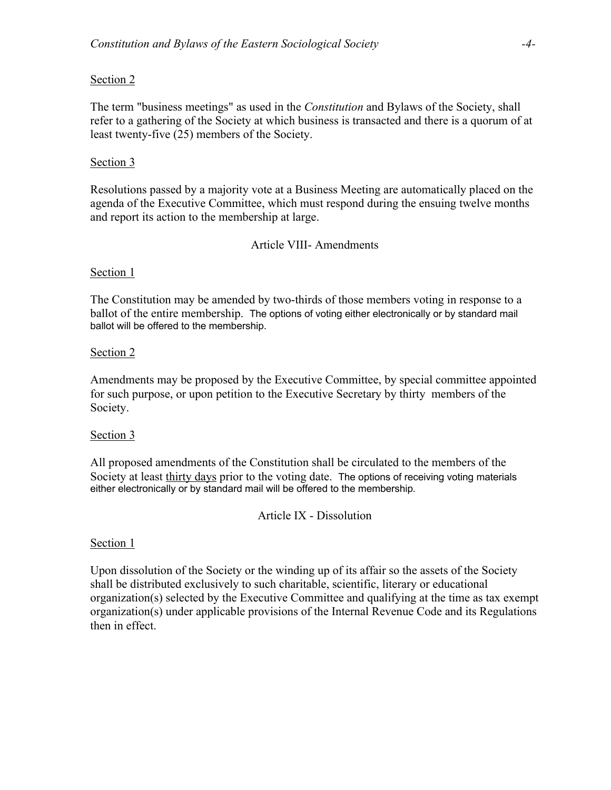The term "business meetings" as used in the *Constitution* and Bylaws of the Society, shall refer to a gathering of the Society at which business is transacted and there is a quorum of at least twenty-five (25) members of the Society.

# Section 3

Resolutions passed by a majority vote at a Business Meeting are automatically placed on the agenda of the Executive Committee, which must respond during the ensuing twelve months and report its action to the membership at large.

# Article VIII- Amendments

# Section 1

The Constitution may be amended by two-thirds of those members voting in response to a ballot of the entire membership. The options of voting either electronically or by standard mail ballot will be offered to the membership.

# Section 2

Amendments may be proposed by the Executive Committee, by special committee appointed for such purpose, or upon petition to the Executive Secretary by thirty members of the Society.

### Section 3

All proposed amendments of the Constitution shall be circulated to the members of the Society at least thirty days prior to the voting date. The options of receiving voting materials either electronically or by standard mail will be offered to the membership*.*

Article IX - Dissolution

### Section 1

Upon dissolution of the Society or the winding up of its affair so the assets of the Society shall be distributed exclusively to such charitable, scientific, literary or educational organization(s) selected by the Executive Committee and qualifying at the time as tax exempt organization(s) under applicable provisions of the Internal Revenue Code and its Regulations then in effect.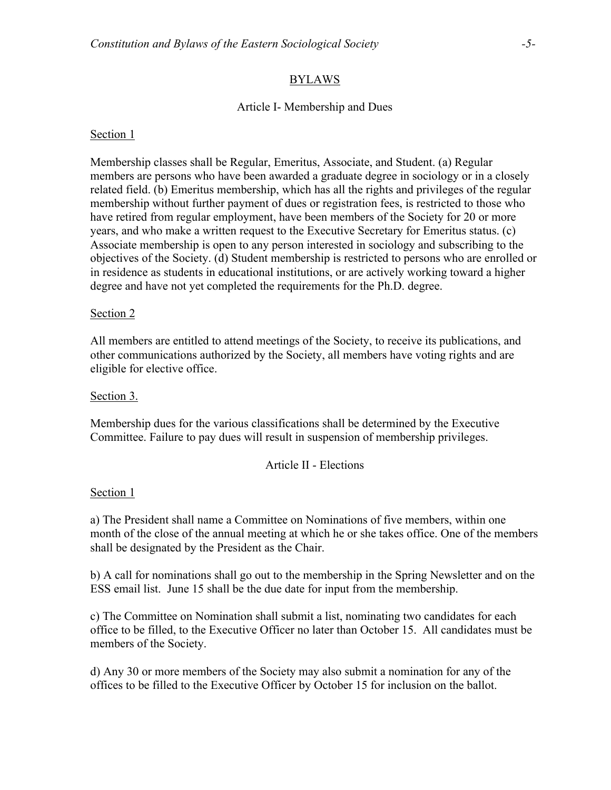# BYLAWS

# Article I- Membership and Dues

### Section 1

Membership classes shall be Regular, Emeritus, Associate, and Student. (a) Regular members are persons who have been awarded a graduate degree in sociology or in a closely related field. (b) Emeritus membership, which has all the rights and privileges of the regular membership without further payment of dues or registration fees, is restricted to those who have retired from regular employment, have been members of the Society for 20 or more years, and who make a written request to the Executive Secretary for Emeritus status. (c) Associate membership is open to any person interested in sociology and subscribing to the objectives of the Society. (d) Student membership is restricted to persons who are enrolled or in residence as students in educational institutions, or are actively working toward a higher degree and have not yet completed the requirements for the Ph.D. degree.

#### Section 2

All members are entitled to attend meetings of the Society, to receive its publications, and other communications authorized by the Society, all members have voting rights and are eligible for elective office.

#### Section 3.

Membership dues for the various classifications shall be determined by the Executive Committee. Failure to pay dues will result in suspension of membership privileges.

#### Article II - Elections

#### Section 1

a) The President shall name a Committee on Nominations of five members, within one month of the close of the annual meeting at which he or she takes office. One of the members shall be designated by the President as the Chair.

b) A call for nominations shall go out to the membership in the Spring Newsletter and on the ESS email list. June 15 shall be the due date for input from the membership.

c) The Committee on Nomination shall submit a list, nominating two candidates for each office to be filled, to the Executive Officer no later than October 15. All candidates must be members of the Society.

d) Any 30 or more members of the Society may also submit a nomination for any of the offices to be filled to the Executive Officer by October 15 for inclusion on the ballot.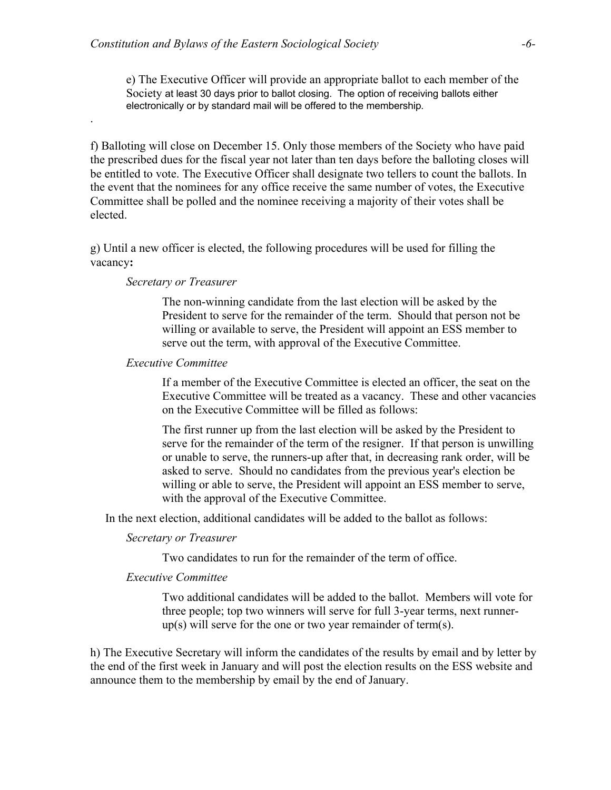e) The Executive Officer will provide an appropriate ballot to each member of the Society at least 30 days prior to ballot closing. The option of receiving ballots either electronically or by standard mail will be offered to the membership*.*

f) Balloting will close on December 15. Only those members of the Society who have paid the prescribed dues for the fiscal year not later than ten days before the balloting closes will be entitled to vote. The Executive Officer shall designate two tellers to count the ballots. In the event that the nominees for any office receive the same number of votes, the Executive Committee shall be polled and the nominee receiving a majority of their votes shall be elected.

g) Until a new officer is elected, the following procedures will be used for filling the vacancy**:**

#### *Secretary or Treasurer*

.

The non-winning candidate from the last election will be asked by the President to serve for the remainder of the term. Should that person not be willing or available to serve, the President will appoint an ESS member to serve out the term, with approval of the Executive Committee.

### *Executive Committee*

If a member of the Executive Committee is elected an officer, the seat on the Executive Committee will be treated as a vacancy. These and other vacancies on the Executive Committee will be filled as follows:

The first runner up from the last election will be asked by the President to serve for the remainder of the term of the resigner. If that person is unwilling or unable to serve, the runners-up after that, in decreasing rank order, will be asked to serve. Should no candidates from the previous year's election be willing or able to serve, the President will appoint an ESS member to serve, with the approval of the Executive Committee.

In the next election, additional candidates will be added to the ballot as follows:

### *Secretary or Treasurer*

Two candidates to run for the remainder of the term of office.

### *Executive Committee*

Two additional candidates will be added to the ballot. Members will vote for three people; top two winners will serve for full 3-year terms, next runnerup(s) will serve for the one or two year remainder of term(s).

h) The Executive Secretary will inform the candidates of the results by email and by letter by the end of the first week in January and will post the election results on the ESS website and announce them to the membership by email by the end of January.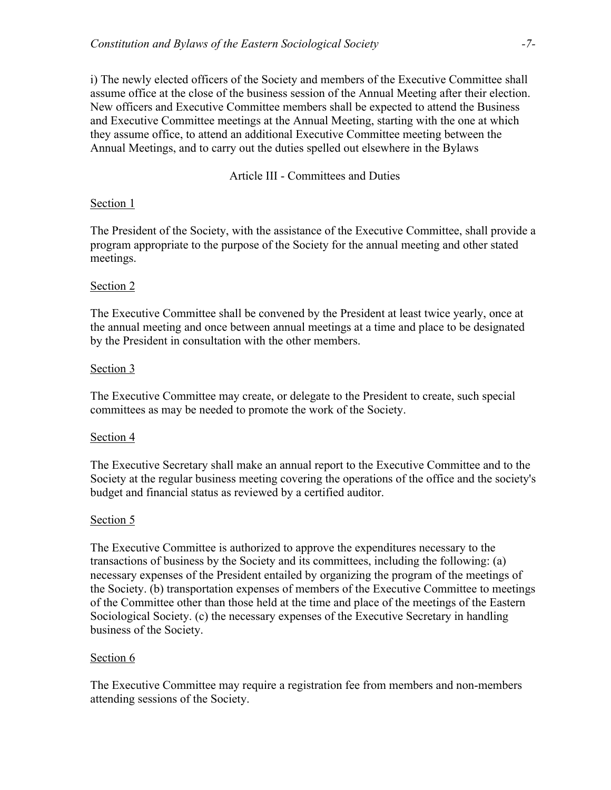i) The newly elected officers of the Society and members of the Executive Committee shall assume office at the close of the business session of the Annual Meeting after their election. New officers and Executive Committee members shall be expected to attend the Business and Executive Committee meetings at the Annual Meeting, starting with the one at which they assume office, to attend an additional Executive Committee meeting between the Annual Meetings, and to carry out the duties spelled out elsewhere in the Bylaws

Article III - Committees and Duties

# Section 1

The President of the Society, with the assistance of the Executive Committee, shall provide a program appropriate to the purpose of the Society for the annual meeting and other stated meetings.

# Section 2

The Executive Committee shall be convened by the President at least twice yearly, once at the annual meeting and once between annual meetings at a time and place to be designated by the President in consultation with the other members.

# Section 3

The Executive Committee may create, or delegate to the President to create, such special committees as may be needed to promote the work of the Society.

### Section 4

The Executive Secretary shall make an annual report to the Executive Committee and to the Society at the regular business meeting covering the operations of the office and the society's budget and financial status as reviewed by a certified auditor.

# Section 5

The Executive Committee is authorized to approve the expenditures necessary to the transactions of business by the Society and its committees, including the following: (a) necessary expenses of the President entailed by organizing the program of the meetings of the Society. (b) transportation expenses of members of the Executive Committee to meetings of the Committee other than those held at the time and place of the meetings of the Eastern Sociological Society. (c) the necessary expenses of the Executive Secretary in handling business of the Society.

### Section 6

The Executive Committee may require a registration fee from members and non-members attending sessions of the Society.